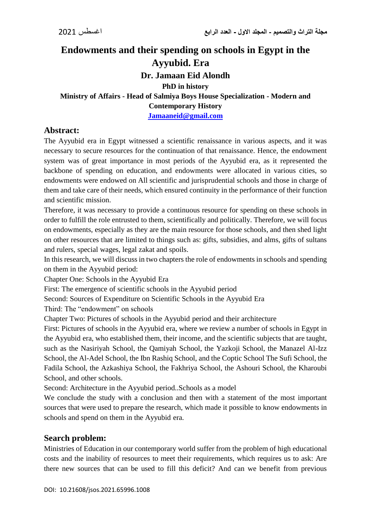# **Endowments and their spending on schools in Egypt in the Ayyubid. Era Dr. Jamaan Eid Alondh PhD in history Ministry of Affairs - Head of Salmiya Boys House Specialization - Modern and Contemporary History [Jamaaneid@gmail.com](mailto:Jamaaneid@gmail.com)**

#### **Abstract:**

The Ayyubid era in Egypt witnessed a scientific renaissance in various aspects, and it was necessary to secure resources for the continuation of that renaissance. Hence, the endowment system was of great importance in most periods of the Ayyubid era, as it represented the backbone of spending on education, and endowments were allocated in various cities, so endowments were endowed on All scientific and jurisprudential schools and those in charge of them and take care of their needs, which ensured continuity in the performance of their function and scientific mission.

Therefore, it was necessary to provide a continuous resource for spending on these schools in order to fulfill the role entrusted to them, scientifically and politically. Therefore, we will focus on endowments, especially as they are the main resource for those schools, and then shed light on other resources that are limited to things such as: gifts, subsidies, and alms, gifts of sultans and rulers, special wages, legal zakat and spoils.

In this research, we will discuss in two chapters the role of endowments in schools and spending on them in the Ayyubid period:

Chapter One: Schools in the Ayyubid Era

First: The emergence of scientific schools in the Ayyubid period

Second: Sources of Expenditure on Scientific Schools in the Ayyubid Era

Third: The "endowment" on schools

Chapter Two: Pictures of schools in the Ayyubid period and their architecture

First: Pictures of schools in the Ayyubid era, where we review a number of schools in Egypt in the Ayyubid era, who established them, their income, and the scientific subjects that are taught, such as the Nasiriyah School, the Qamiyah School, the Yazkoji School, the Manazel Al-Izz School, the Al-Adel School, the Ibn Rashiq School, and the Coptic School The Sufi School, the Fadila School, the Azkashiya School, the Fakhriya School, the Ashouri School, the Kharoubi School, and other schools.

Second: Architecture in the Ayyubid period..Schools as a model

We conclude the study with a conclusion and then with a statement of the most important sources that were used to prepare the research, which made it possible to know endowments in schools and spend on them in the Ayyubid era.

#### **Search problem:**

Ministries of Education in our contemporary world suffer from the problem of high educational costs and the inability of resources to meet their requirements, which requires us to ask: Are there new sources that can be used to fill this deficit? And can we benefit from previous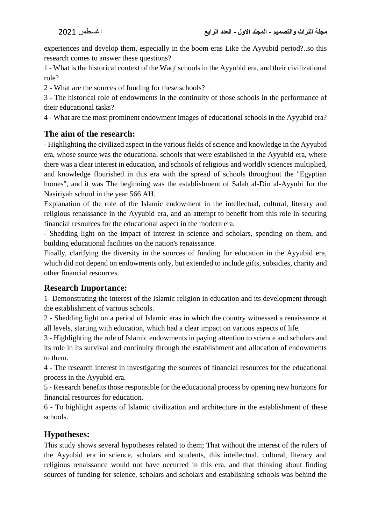experiences and develop them, especially in the boom eras Like the Ayyubid period?..so this research comes to answer these questions?

1 - What is the historical context of the Waqf schools in the Ayyubid era, and their civilizational role?

2 - What are the sources of funding for these schools?

3 - The historical role of endowments in the continuity of those schools in the performance of their educational tasks?

4 - What are the most prominent endowment images of educational schools in the Ayyubid era?

# **The aim of the research:**

- Highlighting the civilized aspect in the various fields of science and knowledge in the Ayyubid era, whose source was the educational schools that were established in the Ayyubid era, where there was a clear interest in education, and schools of religious and worldly sciences multiplied, and knowledge flourished in this era with the spread of schools throughout the "Egyptian homes", and it was The beginning was the establishment of Salah al-Din al-Ayyubi for the Nasiriyah school in the year 566 AH.

Explanation of the role of the Islamic endowment in the intellectual, cultural, literary and religious renaissance in the Ayyubid era, and an attempt to benefit from this role in securing financial resources for the educational aspect in the modern era.

- Shedding light on the impact of interest in science and scholars, spending on them, and building educational facilities on the nation's renaissance.

Finally, clarifying the diversity in the sources of funding for education in the Ayyubid era, which did not depend on endowments only, but extended to include gifts, subsidies, charity and other financial resources.

#### **Research Importance:**

1- Demonstrating the interest of the Islamic religion in education and its development through the establishment of various schools.

2 - Shedding light on a period of Islamic eras in which the country witnessed a renaissance at all levels, starting with education, which had a clear impact on various aspects of life.

3 - Highlighting the role of Islamic endowments in paying attention to science and scholars and its role in its survival and continuity through the establishment and allocation of endowments to them.

4 - The research interest in investigating the sources of financial resources for the educational process in the Ayyubid era.

5 - Research benefits those responsible for the educational process by opening new horizons for financial resources for education.

6 - To highlight aspects of Islamic civilization and architecture in the establishment of these schools.

# **Hypotheses:**

This study shows several hypotheses related to them; That without the interest of the rulers of the Ayyubid era in science, scholars and students, this intellectual, cultural, literary and religious renaissance would not have occurred in this era, and that thinking about finding sources of funding for science, scholars and scholars and establishing schools was behind the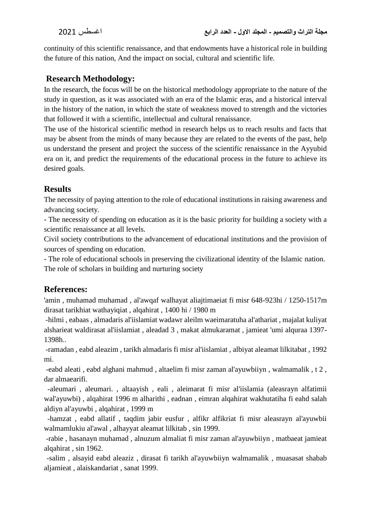continuity of this scientific renaissance, and that endowments have a historical role in building the future of this nation, And the impact on social, cultural and scientific life.

## **Research Methodology:**

In the research, the focus will be on the historical methodology appropriate to the nature of the study in question, as it was associated with an era of the Islamic eras, and a historical interval in the history of the nation, in which the state of weakness moved to strength and the victories that followed it with a scientific, intellectual and cultural renaissance.

The use of the historical scientific method in research helps us to reach results and facts that may be absent from the minds of many because they are related to the events of the past, help us understand the present and project the success of the scientific renaissance in the Ayyubid era on it, and predict the requirements of the educational process in the future to achieve its desired goals.

## **Results**

The necessity of paying attention to the role of educational institutions in raising awareness and advancing society.

- The necessity of spending on education as it is the basic priority for building a society with a scientific renaissance at all levels.

Civil society contributions to the advancement of educational institutions and the provision of sources of spending on education.

- The role of educational schools in preserving the civilizational identity of the Islamic nation. The role of scholars in building and nurturing society

# **References:**

'amin , muhamad muhamad , al'awqaf walhayat aliajtimaeiat fi misr 648-923hi / 1250-1517m dirasat tarikhiat wathayiqiat , alqahirat , 1400 hi / 1980 m

-hilmi , eabaas , almadaris al'iislamiat wadawr aleilm waeimaratuha al'athariat , majalat kuliyat alsharieat waldirasat al'iislamiat , aleadad 3 , makat almukaramat , jamieat 'umi alquraa 1397- 1398h..

-ramadan , eabd aleazim , tarikh almadaris fi misr al'iislamiat , albiyat aleamat lilkitabat , 1992 mi.

-eabd aleati , eabd alghani mahmud , altaelim fi misr zaman al'ayuwbiiyn , walmamalik , t 2 , dar almaearifi.

-aleumari , aleumari. , altaayish , eali , aleimarat fi misr al'iislamia (aleasrayn alfatimii wal'ayuwbi) , alqahirat 1996 m alharithi , eadnan , eimran alqahirat wakhutatiha fi eahd salah aldiyn al'ayuwbi , alqahirat , 1999 m

-hamzat , eabd allatif , taqdim jabir eusfur , alfikr alfikriat fi misr aleasrayn al'ayuwbii walmamlukiu al'awal , alhayyat aleamat lilkitab , sin 1999.

-rabie , hasanayn muhamad , alnuzum almaliat fi misr zaman al'ayuwbiiyn , matbaeat jamieat alqahirat , sin 1962.

-salim , alsayid eabd aleaziz , dirasat fi tarikh al'ayuwbiiyn walmamalik , muasasat shabab aljamieat , alaiskandariat , sanat 1999.